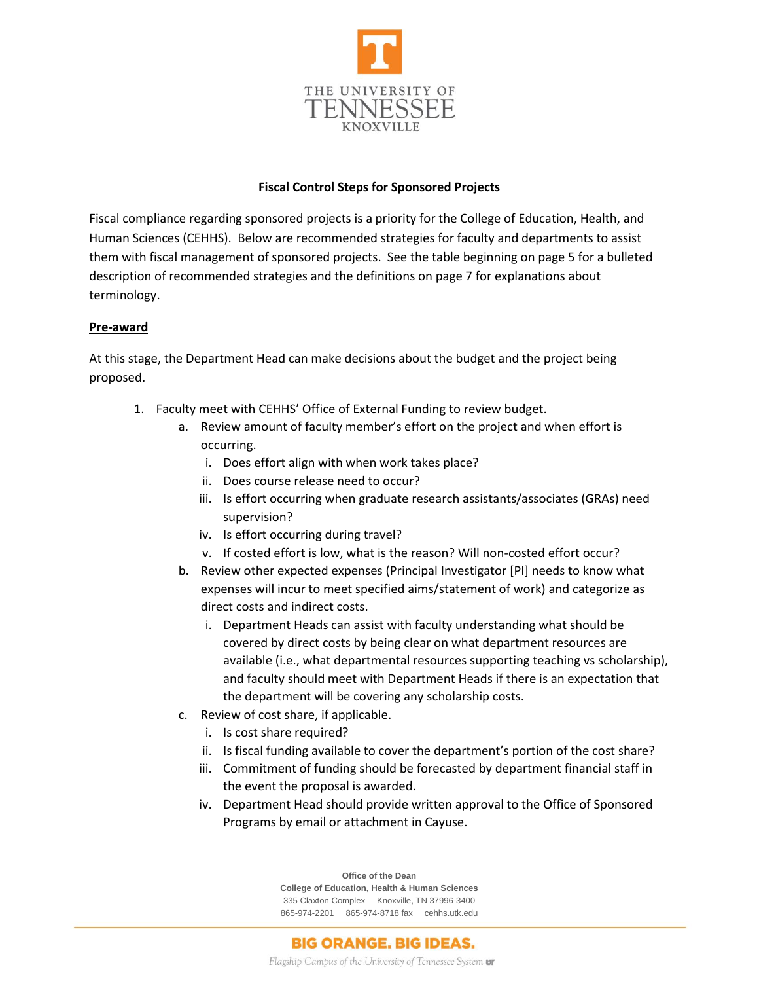

## **Fiscal Control Steps for Sponsored Projects**

Fiscal compliance regarding sponsored projects is a priority for the College of Education, Health, and Human Sciences (CEHHS). Below are recommended strategies for faculty and departments to assist them with fiscal management of sponsored projects. See the table beginning on page 5 for a bulleted description of recommended strategies and the definitions on page 7 for explanations about terminology.

### **Pre-award**

At this stage, the Department Head can make decisions about the budget and the project being proposed.

- 1. Faculty meet with CEHHS' Office of External Funding to review budget.
	- a. Review amount of faculty member's effort on the project and when effort is occurring.
		- i. Does effort align with when work takes place?
		- ii. Does course release need to occur?
		- iii. Is effort occurring when graduate research assistants/associates (GRAs) need supervision?
		- iv. Is effort occurring during travel?
		- v. If costed effort is low, what is the reason? Will non-costed effort occur?
	- b. Review other expected expenses (Principal Investigator [PI] needs to know what expenses will incur to meet specified aims/statement of work) and categorize as direct costs and indirect costs.
		- i. Department Heads can assist with faculty understanding what should be covered by direct costs by being clear on what department resources are available (i.e., what departmental resources supporting teaching vs scholarship), and faculty should meet with Department Heads if there is an expectation that the department will be covering any scholarship costs.
	- c. Review of cost share, if applicable.
		- i. Is cost share required?
		- ii. Is fiscal funding available to cover the department's portion of the cost share?
		- iii. Commitment of funding should be forecasted by department financial staff in the event the proposal is awarded.
		- iv. Department Head should provide written approval to the Office of Sponsored Programs by email or attachment in Cayuse.

**Office of the Dean College of Education, Health & Human Sciences** 335 Claxton Complex Knoxville, TN 37996-3400 865-974-2201 865-974-8718 fax cehhs.utk.edu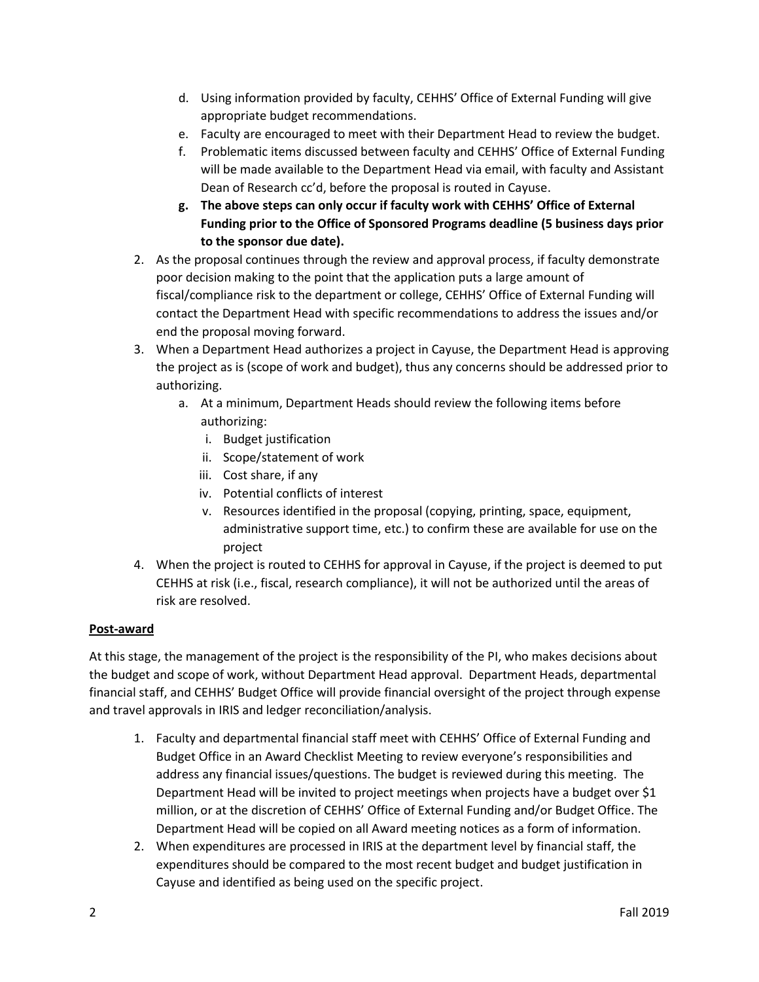- d. Using information provided by faculty, CEHHS' Office of External Funding will give appropriate budget recommendations.
- e. Faculty are encouraged to meet with their Department Head to review the budget.
- f. Problematic items discussed between faculty and CEHHS' Office of External Funding will be made available to the Department Head via email, with faculty and Assistant Dean of Research cc'd, before the proposal is routed in Cayuse.
- **g. The above steps can only occur if faculty work with CEHHS' Office of External Funding prior to the Office of Sponsored Programs deadline (5 business days prior to the sponsor due date).**
- 2. As the proposal continues through the review and approval process, if faculty demonstrate poor decision making to the point that the application puts a large amount of fiscal/compliance risk to the department or college, CEHHS' Office of External Funding will contact the Department Head with specific recommendations to address the issues and/or end the proposal moving forward.
- 3. When a Department Head authorizes a project in Cayuse, the Department Head is approving the project as is (scope of work and budget), thus any concerns should be addressed prior to authorizing.
	- a. At a minimum, Department Heads should review the following items before authorizing:
		- i. Budget justification
		- ii. Scope/statement of work
		- iii. Cost share, if any
		- iv. Potential conflicts of interest
		- v. Resources identified in the proposal (copying, printing, space, equipment, administrative support time, etc.) to confirm these are available for use on the project
- 4. When the project is routed to CEHHS for approval in Cayuse, if the project is deemed to put CEHHS at risk (i.e., fiscal, research compliance), it will not be authorized until the areas of risk are resolved.

# **Post-award**

At this stage, the management of the project is the responsibility of the PI, who makes decisions about the budget and scope of work, without Department Head approval. Department Heads, departmental financial staff, and CEHHS' Budget Office will provide financial oversight of the project through expense and travel approvals in IRIS and ledger reconciliation/analysis.

- 1. Faculty and departmental financial staff meet with CEHHS' Office of External Funding and Budget Office in an Award Checklist Meeting to review everyone's responsibilities and address any financial issues/questions. The budget is reviewed during this meeting. The Department Head will be invited to project meetings when projects have a budget over \$1 million, or at the discretion of CEHHS' Office of External Funding and/or Budget Office. The Department Head will be copied on all Award meeting notices as a form of information.
- 2. When expenditures are processed in IRIS at the department level by financial staff, the expenditures should be compared to the most recent budget and budget justification in Cayuse and identified as being used on the specific project.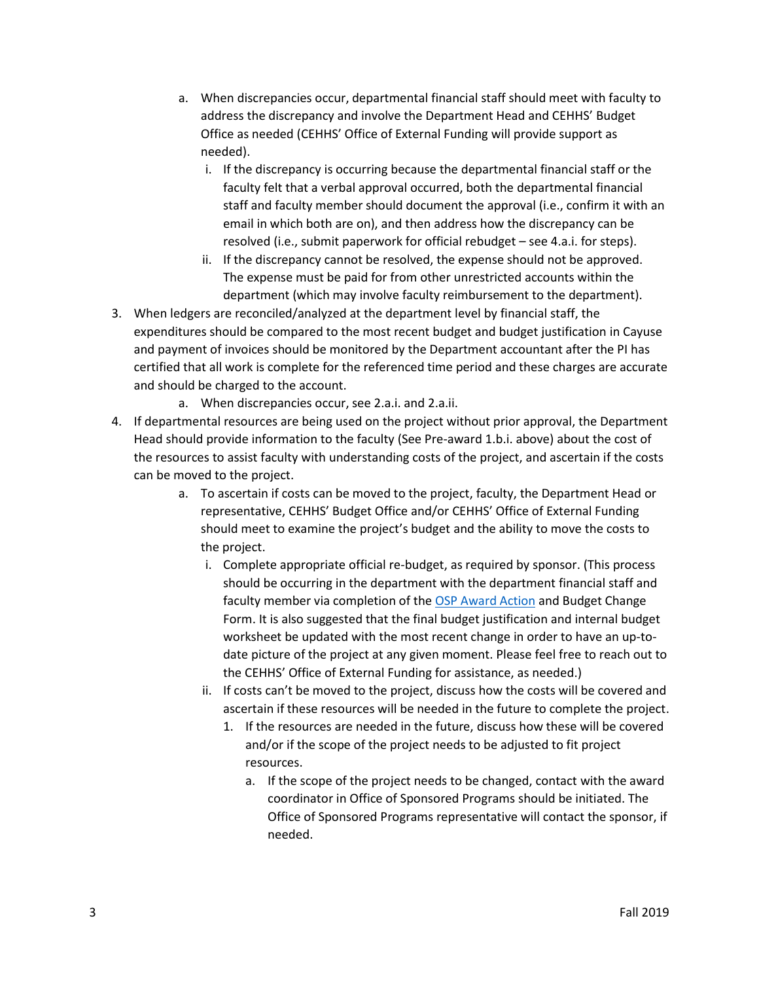- a. When discrepancies occur, departmental financial staff should meet with faculty to address the discrepancy and involve the Department Head and CEHHS' Budget Office as needed (CEHHS' Office of External Funding will provide support as needed).
	- i. If the discrepancy is occurring because the departmental financial staff or the faculty felt that a verbal approval occurred, both the departmental financial staff and faculty member should document the approval (i.e., confirm it with an email in which both are on), and then address how the discrepancy can be resolved (i.e., submit paperwork for official rebudget – see 4.a.i. for steps).
	- ii. If the discrepancy cannot be resolved, the expense should not be approved. The expense must be paid for from other unrestricted accounts within the department (which may involve faculty reimbursement to the department).
- 3. When ledgers are reconciled/analyzed at the department level by financial staff, the expenditures should be compared to the most recent budget and budget justification in Cayuse and payment of invoices should be monitored by the Department accountant after the PI has certified that all work is complete for the referenced time period and these charges are accurate and should be charged to the account.
	- a. When discrepancies occur, see 2.a.i. and 2.a.ii.
- 4. If departmental resources are being used on the project without prior approval, the Department Head should provide information to the faculty (See Pre-award 1.b.i. above) about the cost of the resources to assist faculty with understanding costs of the project, and ascertain if the costs can be moved to the project.
	- a. To ascertain if costs can be moved to the project, faculty, the Department Head or representative, CEHHS' Budget Office and/or CEHHS' Office of External Funding should meet to examine the project's budget and the ability to move the costs to the project.
		- i. Complete appropriate official re-budget, as required by sponsor. (This process should be occurring in the department with the department financial staff and faculty member via completion of the [OSP Award Action](https://osp.utk.edu/wp-content/uploads/sites/49/2018/08/Award-Action-Form.-24July2018.v4.pdf) and Budget Change Form. It is also suggested that the final budget justification and internal budget worksheet be updated with the most recent change in order to have an up-todate picture of the project at any given moment. Please feel free to reach out to the CEHHS' Office of External Funding for assistance, as needed.)
		- ii. If costs can't be moved to the project, discuss how the costs will be covered and ascertain if these resources will be needed in the future to complete the project.
			- 1. If the resources are needed in the future, discuss how these will be covered and/or if the scope of the project needs to be adjusted to fit project resources.
				- a. If the scope of the project needs to be changed, contact with the award coordinator in Office of Sponsored Programs should be initiated. The Office of Sponsored Programs representative will contact the sponsor, if needed.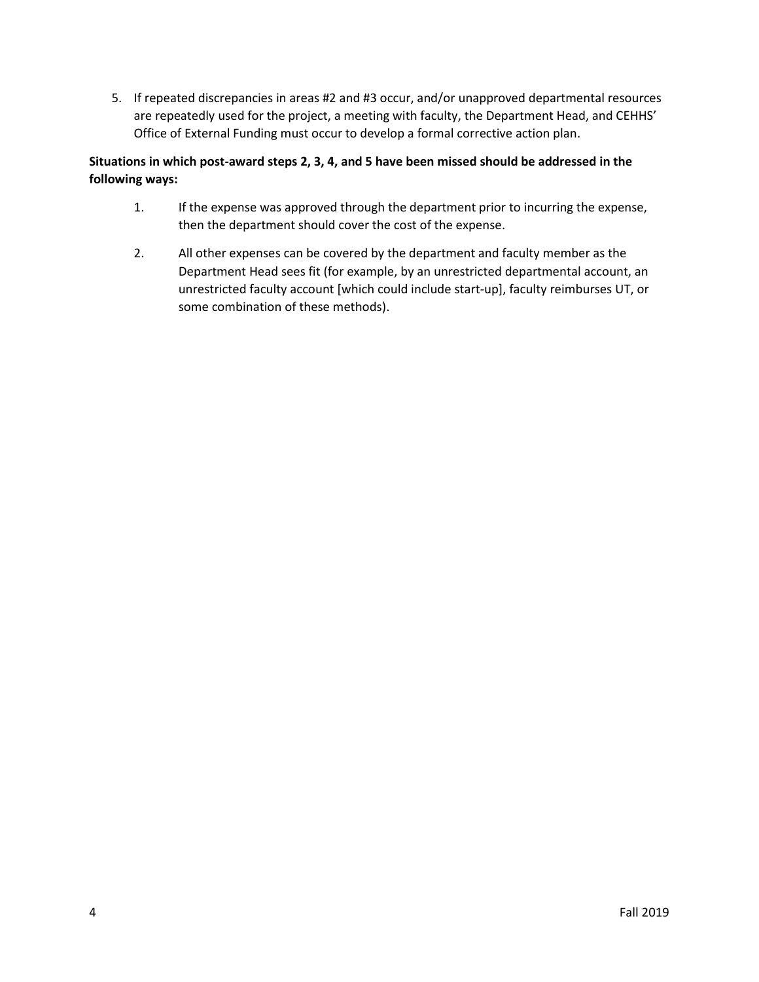5. If repeated discrepancies in areas #2 and #3 occur, and/or unapproved departmental resources are repeatedly used for the project, a meeting with faculty, the Department Head, and CEHHS' Office of External Funding must occur to develop a formal corrective action plan.

# **Situations in which post-award steps 2, 3, 4, and 5 have been missed should be addressed in the following ways:**

- 1. If the expense was approved through the department prior to incurring the expense, then the department should cover the cost of the expense.
- 2. All other expenses can be covered by the department and faculty member as the Department Head sees fit (for example, by an unrestricted departmental account, an unrestricted faculty account [which could include start-up], faculty reimburses UT, or some combination of these methods).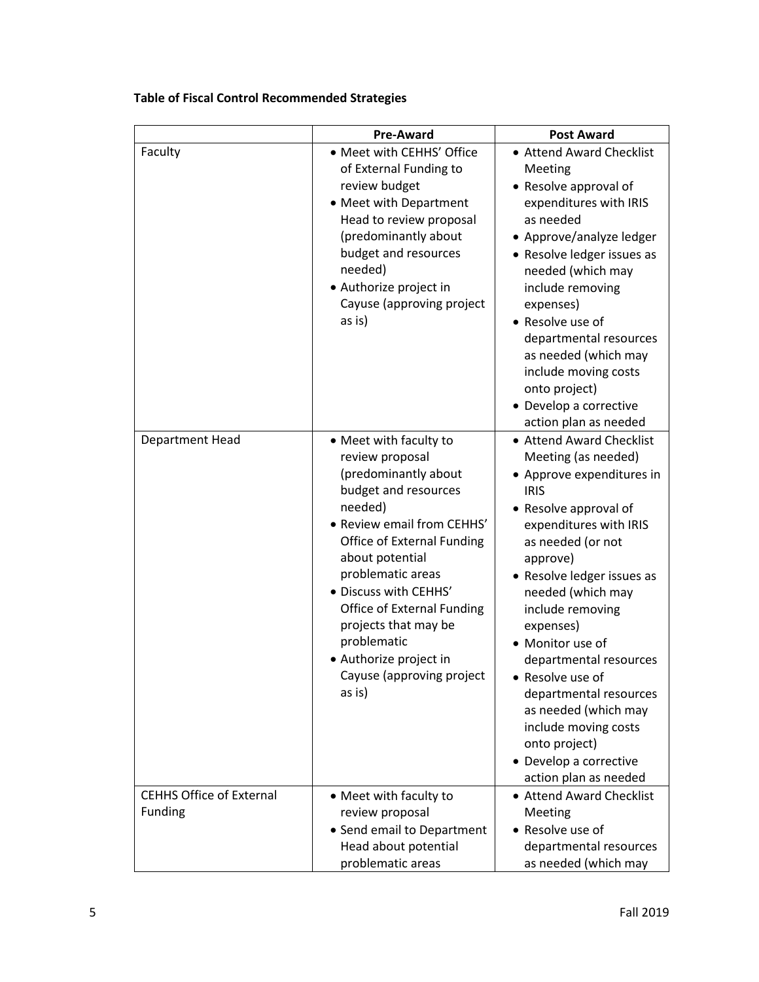|                                                   | <b>Pre-Award</b>                                                                                                                                                                                                                                                                                                                                                                      | <b>Post Award</b>                                                                                                                                                                                                                                                                                                                                                                                                                                                                 |
|---------------------------------------------------|---------------------------------------------------------------------------------------------------------------------------------------------------------------------------------------------------------------------------------------------------------------------------------------------------------------------------------------------------------------------------------------|-----------------------------------------------------------------------------------------------------------------------------------------------------------------------------------------------------------------------------------------------------------------------------------------------------------------------------------------------------------------------------------------------------------------------------------------------------------------------------------|
| Faculty                                           | • Meet with CEHHS' Office<br>of External Funding to<br>review budget<br>• Meet with Department<br>Head to review proposal<br>(predominantly about<br>budget and resources<br>needed)<br>• Authorize project in<br>Cayuse (approving project<br>as is)                                                                                                                                 | • Attend Award Checklist<br>Meeting<br>• Resolve approval of<br>expenditures with IRIS<br>as needed<br>• Approve/analyze ledger<br>• Resolve ledger issues as<br>needed (which may<br>include removing<br>expenses)<br>• Resolve use of<br>departmental resources<br>as needed (which may<br>include moving costs<br>onto project)<br>• Develop a corrective<br>action plan as needed                                                                                             |
| Department Head                                   | • Meet with faculty to<br>review proposal<br>(predominantly about<br>budget and resources<br>needed)<br>· Review email from CEHHS'<br><b>Office of External Funding</b><br>about potential<br>problematic areas<br>· Discuss with CEHHS'<br><b>Office of External Funding</b><br>projects that may be<br>problematic<br>• Authorize project in<br>Cayuse (approving project<br>as is) | • Attend Award Checklist<br>Meeting (as needed)<br>• Approve expenditures in<br><b>IRIS</b><br>• Resolve approval of<br>expenditures with IRIS<br>as needed (or not<br>approve)<br>• Resolve ledger issues as<br>needed (which may<br>include removing<br>expenses)<br>• Monitor use of<br>departmental resources<br>Resolve use of<br>departmental resources<br>as needed (which may<br>include moving costs<br>onto project)<br>• Develop a corrective<br>action plan as needed |
| <b>CEHHS Office of External</b><br><b>Funding</b> | • Meet with faculty to<br>review proposal<br>• Send email to Department<br>Head about potential<br>problematic areas                                                                                                                                                                                                                                                                  | • Attend Award Checklist<br>Meeting<br>• Resolve use of<br>departmental resources<br>as needed (which may                                                                                                                                                                                                                                                                                                                                                                         |

# **Table of Fiscal Control Recommended Strategies**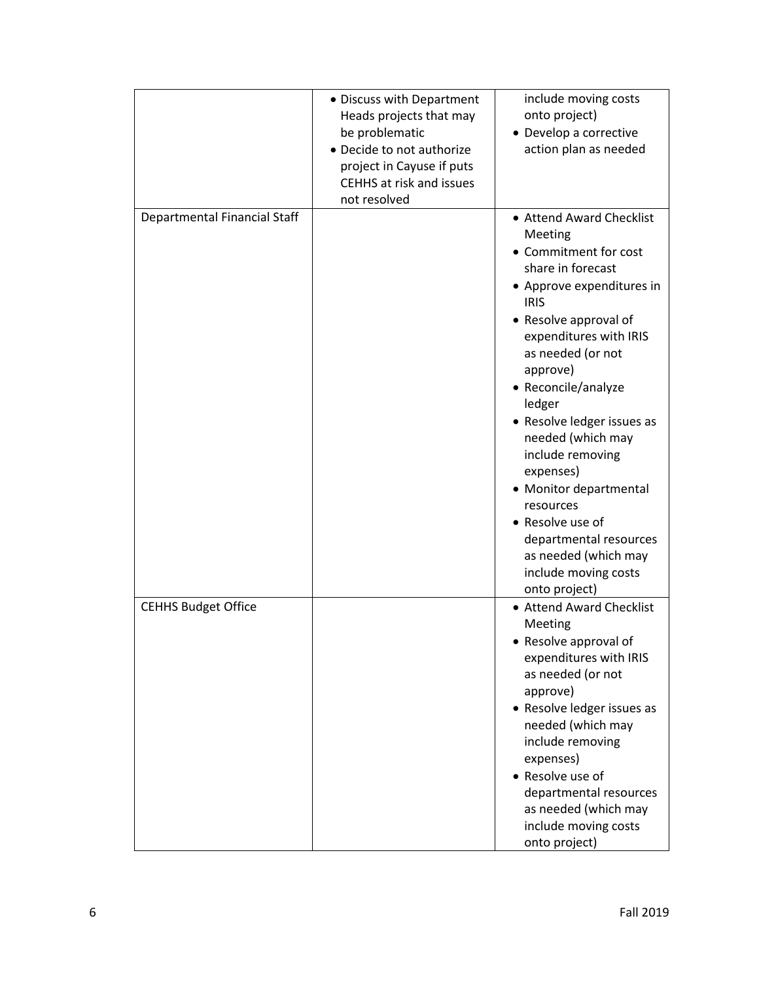|                                     | • Discuss with Department<br>Heads projects that may<br>be problematic<br>• Decide to not authorize<br>project in Cayuse if puts<br>CEHHS at risk and issues<br>not resolved | include moving costs<br>onto project)<br>• Develop a corrective<br>action plan as needed                                                                                                                                                                                                                                                                                                                                                                                                     |
|-------------------------------------|------------------------------------------------------------------------------------------------------------------------------------------------------------------------------|----------------------------------------------------------------------------------------------------------------------------------------------------------------------------------------------------------------------------------------------------------------------------------------------------------------------------------------------------------------------------------------------------------------------------------------------------------------------------------------------|
| <b>Departmental Financial Staff</b> |                                                                                                                                                                              | • Attend Award Checklist<br>Meeting<br>• Commitment for cost<br>share in forecast<br>• Approve expenditures in<br><b>IRIS</b><br>• Resolve approval of<br>expenditures with IRIS<br>as needed (or not<br>approve)<br>• Reconcile/analyze<br>ledger<br>• Resolve ledger issues as<br>needed (which may<br>include removing<br>expenses)<br>• Monitor departmental<br>resources<br>• Resolve use of<br>departmental resources<br>as needed (which may<br>include moving costs<br>onto project) |
| <b>CEHHS Budget Office</b>          |                                                                                                                                                                              | • Attend Award Checklist<br>Meeting<br>• Resolve approval of<br>expenditures with IRIS<br>as needed (or not<br>approve)<br>• Resolve ledger issues as<br>needed (which may<br>include removing<br>expenses)<br>• Resolve use of<br>departmental resources<br>as needed (which may<br>include moving costs<br>onto project)                                                                                                                                                                   |